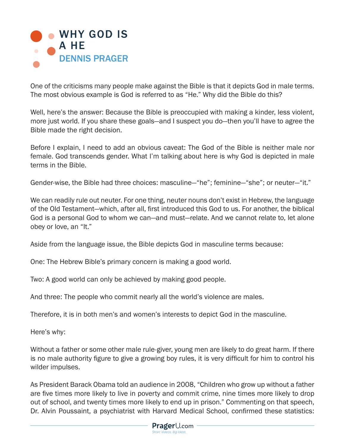

One of the criticisms many people make against the Bible is that it depicts God in male terms. The most obvious example is God is referred to as "He." Why did the Bible do this?

Well, here's the answer: Because the Bible is preoccupied with making a kinder, less violent, more just world. If you share these goals—and I suspect you do—then you'll have to agree the Bible made the right decision.

Before I explain, I need to add an obvious caveat: The God of the Bible is neither male nor female. God transcends gender. What I'm talking about here is why God is depicted in male terms in the Bible.

Gender-wise, the Bible had three choices: masculine—"he"; feminine—"she"; or neuter—"it."

We can readily rule out neuter. For one thing, neuter nouns don't exist in Hebrew, the language of the Old Testament—which, after all, first introduced this God to us. For another, the biblical God is a personal God to whom we can—and must—relate. And we cannot relate to, let alone obey or love, an "It."

Aside from the language issue, the Bible depicts God in masculine terms because:

One: The Hebrew Bible's primary concern is making a good world.

Two: A good world can only be achieved by making good people.

And three: The people who commit nearly all the world's violence are males.

Therefore, it is in both men's and women's interests to depict God in the masculine.

Here's why:

Without a father or some other male rule-giver, young men are likely to do great harm. If there is no male authority figure to give a growing boy rules, it is very difficult for him to control his wilder impulses.

As President Barack Obama told an audience in 2008, "Children who grow up without a father are five times more likely to live in poverty and commit crime, nine times more likely to drop out of school, and twenty times more likely to end up in prison." Commenting on that speech, Dr. Alvin Poussaint, a psychiatrist with Harvard Medical School, confirmed these statistics: